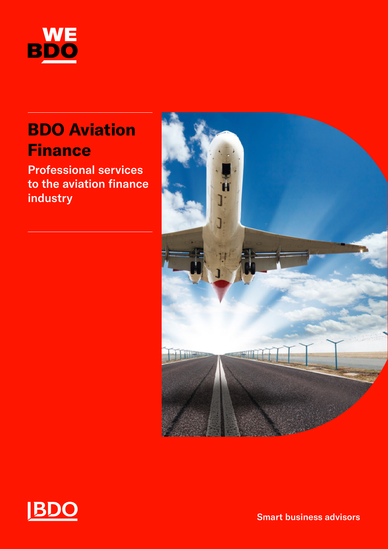

## **BDO Aviation Finance**

Professional services to the aviation finance industry





Smart business advisors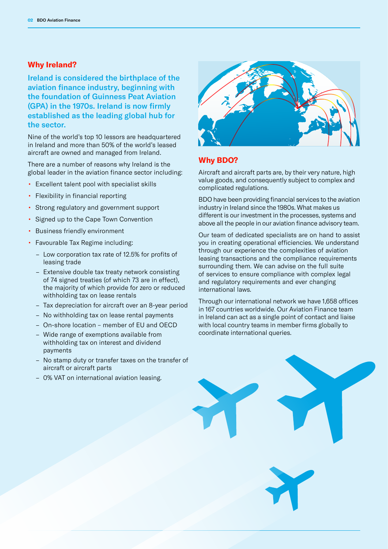#### **Why Ireland?**

Ireland is considered the birthplace of the aviation finance industry, beginning with the foundation of Guinness Peat Aviation (GPA) in the 1970s. Ireland is now firmly established as the leading global hub for the sector.

Nine of the world's top 10 lessors are headquartered in Ireland and more than 50% of the world's leased aircraft are owned and managed from Ireland.

There are a number of reasons why Ireland is the global leader in the aviation finance sector including:

- Excellent talent pool with specialist skills
- Flexibility in financial reporting
- Strong regulatory and government support
- Signed up to the Cape Town Convention
- Business friendly environment
- Favourable Tax Regime including:
	- Low corporation tax rate of 12.5% for profits of leasing trade
	- Extensive double tax treaty network consisting of 74 signed treaties (of which 73 are in effect), the majority of which provide for zero or reduced withholding tax on lease rentals
	- Tax depreciation for aircraft over an 8-year period
	- No withholding tax on lease rental payments
	- On-shore location member of EU and OECD
	- Wide range of exemptions available from withholding tax on interest and dividend payments
	- No stamp duty or transfer taxes on the transfer of aircraft or aircraft parts
	- 0% VAT on international aviation leasing.



#### **Why BDO?**

Aircraft and aircraft parts are, by their very nature, high value goods, and consequently subject to complex and complicated regulations.

BDO have been providing financial services to the aviation industry in Ireland since the 1980s. What makes us different is our investment in the processes, systems and above all the people in our aviation finance advisory team.

Our team of dedicated specialists are on hand to assist you in creating operational efficiencies. We understand through our experience the complexities of aviation leasing transactions and the compliance requirements surrounding them. We can advise on the full suite of services to ensure compliance with complex legal and regulatory requirements and ever changing international laws.

Through our international network we have 1,658 offices in 167 countries worldwide. Our Aviation Finance team in Ireland can act as a single point of contact and liaise with local country teams in member firms globally to coordinate international queries.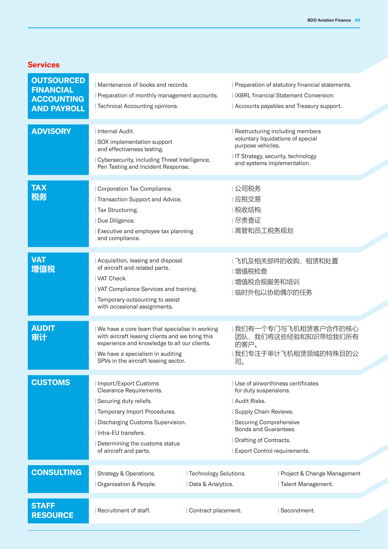#### **Services**

| <b>OUTSOURCED</b><br><b>FINANCIAL</b><br><b>ACCOUNTING</b><br><b>AND PAYROLL</b> | Maintenance of books and records.<br>Preparation of monthly management accounts.<br>Technical Accounting opinions.                                                                                                                |                                            |                                                                                                                                                                             | Preparation of statutory financial statements.<br><b>IXBRL</b> financial Statement Conversion.<br>Accounts payables and Treasury support. |
|----------------------------------------------------------------------------------|-----------------------------------------------------------------------------------------------------------------------------------------------------------------------------------------------------------------------------------|--------------------------------------------|-----------------------------------------------------------------------------------------------------------------------------------------------------------------------------|-------------------------------------------------------------------------------------------------------------------------------------------|
| <b>ADVISORY</b>                                                                  | Internal Audit.<br>SOX implementation support<br>and effectiveness testing.<br>Cybersecurity, including Threat Intelligence,<br>Pen Testing and Incident Response.                                                                |                                            | purpose vehicles.<br>and systems implementation.                                                                                                                            | Restructuring including members<br>voluntary liquidations of special<br>IT Strategy, security, technology                                 |
| <b>TAX</b><br>税务                                                                 | Corporation Tax Compliance.<br>Transaction Support and Advice.<br>Tax Structuring.<br>Due Diligence.<br>Executive and employee tax planning<br>and compliance.                                                                    |                                            | 公司税务<br>应税交易<br> 税收结构<br>尽责查证<br>  高管和员工税务规划                                                                                                                                |                                                                                                                                           |
| <b>VAT</b><br>增值税                                                                | Acquisition, leasing and disposal<br>of aircraft and related parts.<br>VAT Check.<br>  VAT Compliance Services and training.<br>Temporary outsourcing to assist<br>with occasional assignments.                                   |                                            | 增值税检查<br>增值税合规服务和培训<br>临时外包以协助偶尔的任务                                                                                                                                         | 飞机及相关部件的收购、租赁和处置                                                                                                                          |
| <b>AUDIT</b><br>审计                                                               | We have a core team that specialise in working<br>with aircraft leasing clients and we bring this<br>experience and knowledge to all our clients.<br>We have a specialism in auditing<br>SPVs in the aircraft leasing sector.     |                                            | 我们有一个专门与飞机租赁客户合作的核心<br>团队,我们将这些经验和知识带给我们所有<br>的客户。<br>我们专注于审计飞机租赁领域的特殊目的公<br>司。                                                                                             |                                                                                                                                           |
| <b>CUSTOMS</b>                                                                   | Import/Export Customs<br>Clearance Requirements.<br>Securing duty reliefs.<br>Temporary Import Procedures.<br>Discharging Customs Supervision.<br>Intra-EU transfers.<br>Determining the customs status<br>of aircraft and parts. |                                            | for duty suspensions.<br>Audit Risks.<br>Supply Chain Reviews.<br>Securing Comprehensive<br>Bonds and Guarantees.<br>Drafting of Contracts.<br>Export Control requirements. | Use of airworthiness certificates                                                                                                         |
| <b>CONSULTING</b>                                                                | Strategy & Operations.<br>Organisation & People.                                                                                                                                                                                  | Technology Solutions.<br>Data & Analytics. |                                                                                                                                                                             | Project & Change Management<br>Talent Management.                                                                                         |
| <b>STAFF</b><br><b>RESOURCE</b>                                                  | Recruitment of staff.                                                                                                                                                                                                             | Contract placement.                        |                                                                                                                                                                             | Secondment.                                                                                                                               |